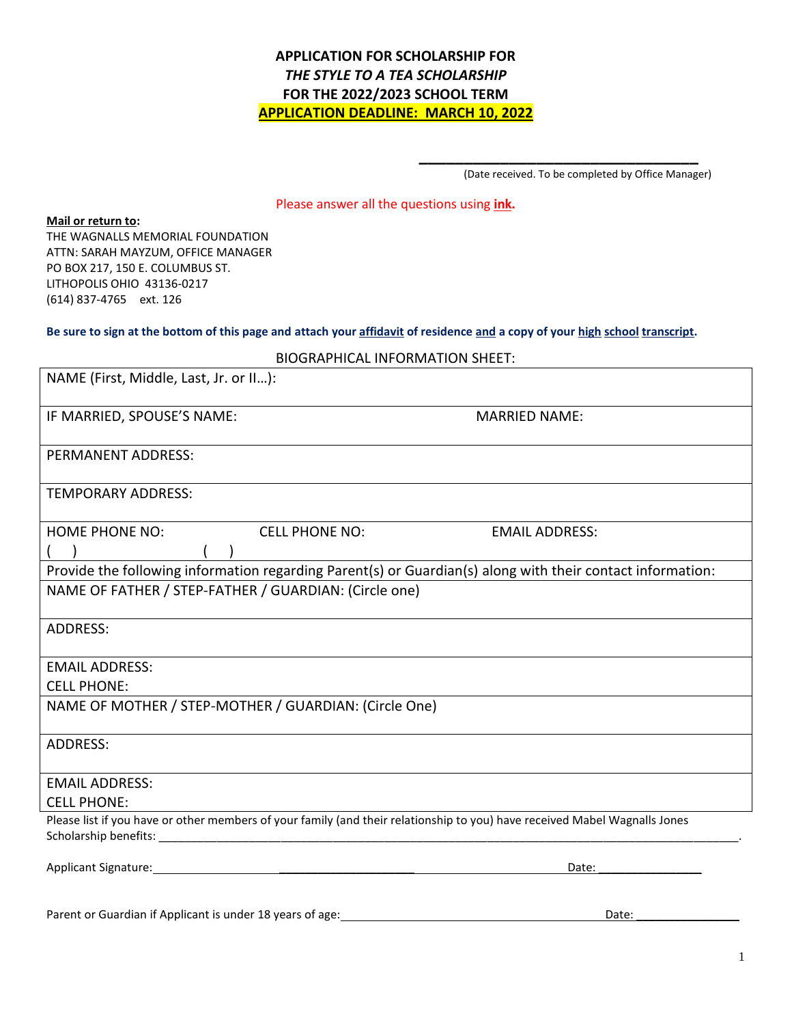# **APPLICATION FOR SCHOLARSHIP FOR** *THE STYLE TO A TEA SCHOLARSHIP* **FOR THE 2022/2023 SCHOOL TERM APPLICATION DEADLINE: MARCH 10, 2022**

(Date received. To be completed by Office Manager)

**\_\_\_\_\_\_\_\_\_\_\_\_\_\_\_\_\_\_\_\_\_\_\_\_\_\_\_\_\_\_\_**

#### Please answer all the questions using **ink.**

**Mail or return to:**

THE WAGNALLS MEMORIAL FOUNDATION ATTN: SARAH MAYZUM, OFFICE MANAGER PO BOX 217, 150 E. COLUMBUS ST. LITHOPOLIS OHIO 43136-0217 (614) 837-4765 ext. 126

#### **Be sure to sign at the bottom of this page and attach your affidavit of residence and a copy of your high school transcript.**

| NAME (First, Middle, Last, Jr. or II):                                                                                     |                       |  |  |
|----------------------------------------------------------------------------------------------------------------------------|-----------------------|--|--|
| IF MARRIED, SPOUSE'S NAME:                                                                                                 | <b>MARRIED NAME:</b>  |  |  |
| <b>PERMANENT ADDRESS:</b>                                                                                                  |                       |  |  |
| <b>TEMPORARY ADDRESS:</b>                                                                                                  |                       |  |  |
| <b>HOME PHONE NO:</b><br><b>CELL PHONE NO:</b>                                                                             | <b>EMAIL ADDRESS:</b> |  |  |
|                                                                                                                            |                       |  |  |
| Provide the following information regarding Parent(s) or Guardian(s) along with their contact information:                 |                       |  |  |
| NAME OF FATHER / STEP-FATHER / GUARDIAN: (Circle one)                                                                      |                       |  |  |
| ADDRESS:                                                                                                                   |                       |  |  |
| <b>EMAIL ADDRESS:</b>                                                                                                      |                       |  |  |
| <b>CELL PHONE:</b>                                                                                                         |                       |  |  |
| NAME OF MOTHER / STEP-MOTHER / GUARDIAN: (Circle One)                                                                      |                       |  |  |
| <b>ADDRESS:</b>                                                                                                            |                       |  |  |
| <b>EMAIL ADDRESS:</b>                                                                                                      |                       |  |  |
| <b>CELL PHONE:</b>                                                                                                         |                       |  |  |
| Please list if you have or other members of your family (and their relationship to you) have received Mabel Wagnalls Jones |                       |  |  |
| Applicant Signature: Management of the Applicant Signature:                                                                | Date:                 |  |  |

Parent or Guardian if Applicant is under 18 years of age: Date: Date: Date: Date: Date: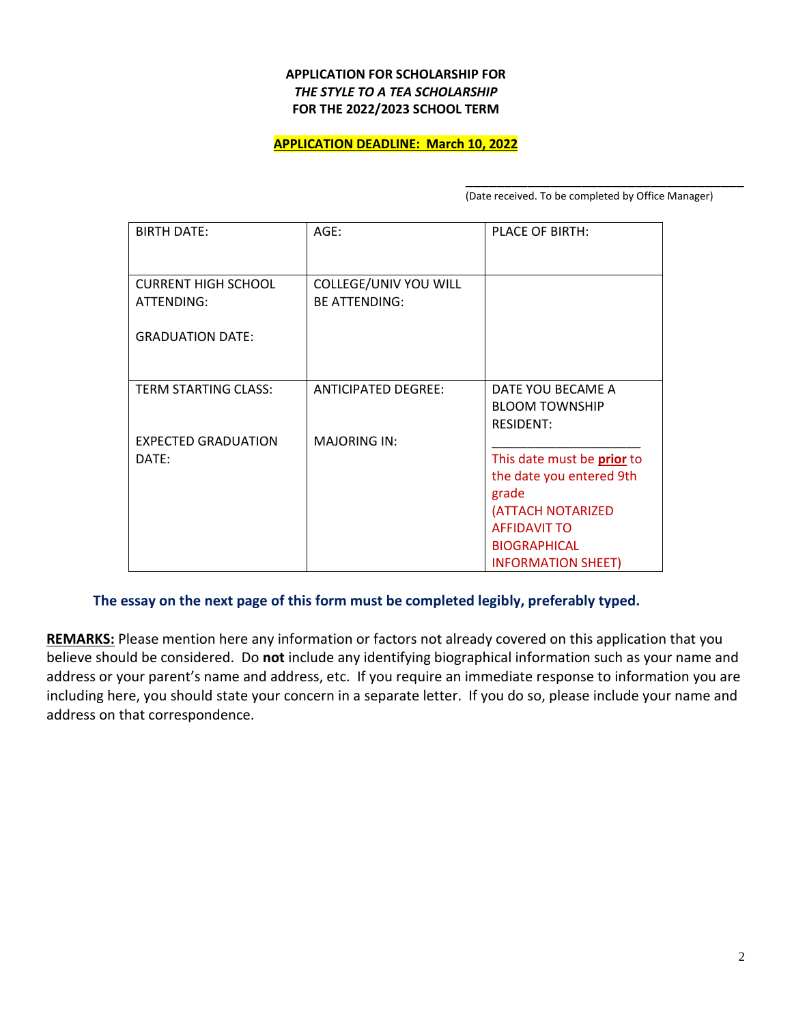### **APPLICATION FOR SCHOLARSHIP FOR** *THE STYLE TO A TEA SCHOLARSHIP* **FOR THE 2022/2023 SCHOOL TERM**

#### **APPLICATION DEADLINE: March 10, 2022**

**\_\_\_\_\_\_\_\_\_\_\_\_\_\_\_\_\_\_\_\_\_\_\_\_\_\_\_\_\_\_\_\_\_\_\_\_** (Date received. To be completed by Office Manager)

| <b>BIRTH DATE:</b>                       | $AGE$ :                                       | PLACE OF BIRTH:                                                |
|------------------------------------------|-----------------------------------------------|----------------------------------------------------------------|
| <b>CURRENT HIGH SCHOOL</b><br>ATTENDING: | COLLEGE/UNIV YOU WILL<br><b>BE ATTENDING:</b> |                                                                |
| <b>GRADUATION DATE:</b>                  |                                               |                                                                |
| <b>TERM STARTING CLASS:</b>              | <b>ANTICIPATED DEGREE:</b>                    | DATE YOU BECAME A<br><b>BLOOM TOWNSHIP</b><br><b>RESIDENT:</b> |
| <b>EXPECTED GRADUATION</b>               | <b>MAJORING IN:</b>                           |                                                                |
| DATE:                                    |                                               | This date must be <b>prior</b> to                              |
|                                          |                                               | the date you entered 9th                                       |
|                                          |                                               | grade                                                          |
|                                          |                                               | (ATTACH NOTARIZED                                              |
|                                          |                                               | <b>AFFIDAVIT TO</b>                                            |
|                                          |                                               | <b>BIOGRAPHICAL</b>                                            |
|                                          |                                               | <b>INFORMATION SHEET)</b>                                      |

## **The essay on the next page of this form must be completed legibly, preferably typed.**

**REMARKS:** Please mention here any information or factors not already covered on this application that you believe should be considered. Do **not** include any identifying biographical information such as your name and address or your parent's name and address, etc. If you require an immediate response to information you are including here, you should state your concern in a separate letter. If you do so, please include your name and address on that correspondence.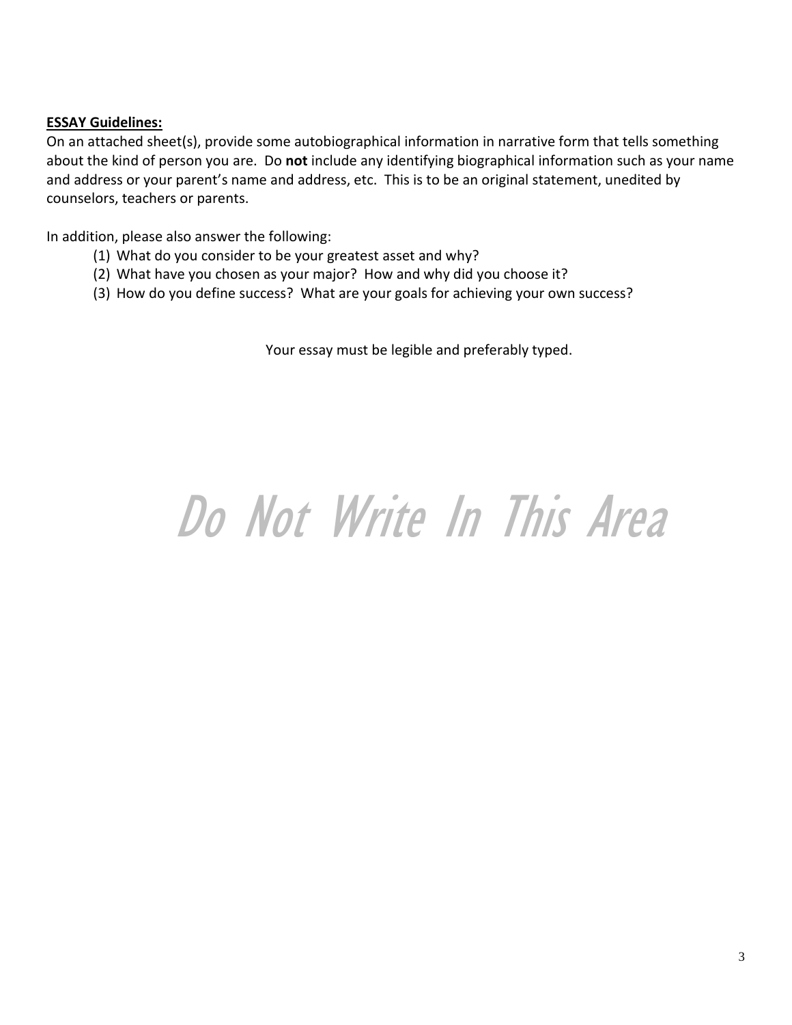# **ESSAY Guidelines:**

On an attached sheet(s), provide some autobiographical information in narrative form that tells something about the kind of person you are. Do **not** include any identifying biographical information such as your name and address or your parent's name and address, etc. This is to be an original statement, unedited by counselors, teachers or parents.

In addition, please also answer the following:

- (1) What do you consider to be your greatest asset and why?
- (2) What have you chosen as your major? How and why did you choose it?
- (3) How do you define success? What are your goals for achieving your own success?

Your essay must be legible and preferably typed.

# Do Not Write In This Area